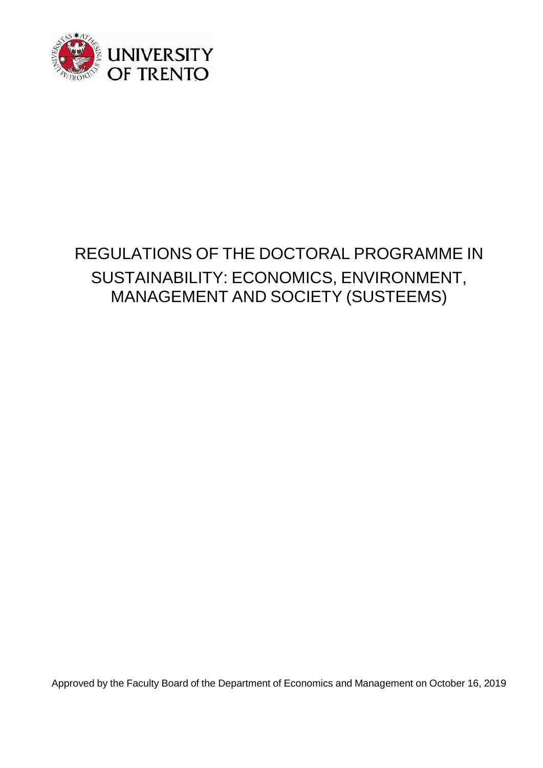

Approved by the Faculty Board of the Department of Economics and Management on October 16, 2019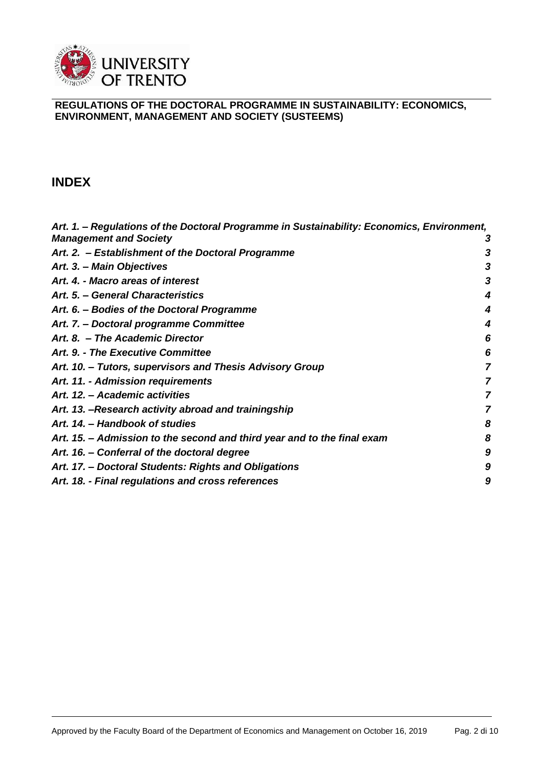

### **INDEX**

| Art. 1. – Regulations of the Doctoral Programme in Sustainability: Economics, Environment, |   |
|--------------------------------------------------------------------------------------------|---|
| <b>Management and Society</b>                                                              | З |
| Art. 2. - Establishment of the Doctoral Programme                                          | 3 |
| Art. 3. - Main Objectives                                                                  | 3 |
| Art. 4. - Macro areas of interest                                                          | 3 |
| Art. 5. - General Characteristics                                                          | 4 |
| Art. 6. – Bodies of the Doctoral Programme                                                 | 4 |
| Art. 7. - Doctoral programme Committee                                                     | 4 |
| Art. 8. - The Academic Director                                                            | 6 |
| Art. 9. - The Executive Committee                                                          | 6 |
| Art. 10. - Tutors, supervisors and Thesis Advisory Group                                   | 7 |
| Art. 11. - Admission requirements                                                          | 7 |
| Art. 12. - Academic activities                                                             | 7 |
| Art. 13. - Research activity abroad and trainingship                                       | 7 |
| Art. 14. - Handbook of studies                                                             | 8 |
| Art. 15. - Admission to the second and third year and to the final exam                    | 8 |
| Art. 16. - Conferral of the doctoral degree                                                | 9 |
| Art. 17. - Doctoral Students: Rights and Obligations                                       | 9 |
| Art. 18. - Final regulations and cross references                                          | 9 |
|                                                                                            |   |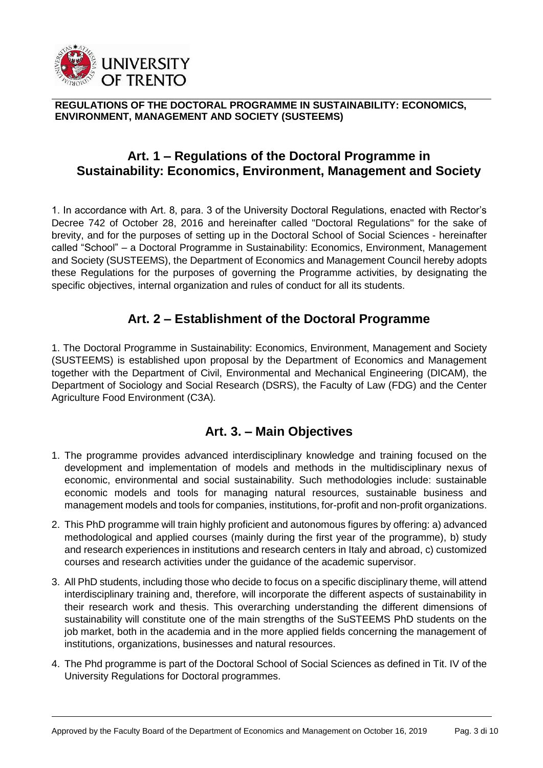

### <span id="page-2-0"></span>**Art. 1 – Regulations of the Doctoral Programme in Sustainability: Economics, Environment, Management and Society**

1. In accordance with Art. 8, para. 3 of the University Doctoral Regulations, enacted with Rector's Decree 742 of October 28, 2016 and hereinafter called "Doctoral Regulations" for the sake of brevity, and for the purposes of setting up in the Doctoral School of Social Sciences - hereinafter called "School" – a Doctoral Programme in Sustainability: Economics, Environment, Management and Society (SUSTEEMS), the Department of Economics and Management Council hereby adopts these Regulations for the purposes of governing the Programme activities, by designating the specific objectives, internal organization and rules of conduct for all its students.

### **Art. 2 – Establishment of the Doctoral Programme**

<span id="page-2-1"></span>1. The Doctoral Programme in Sustainability: Economics, Environment, Management and Society (SUSTEEMS) is established upon proposal by the Department of Economics and Management together with the Department of Civil, Environmental and Mechanical Engineering (DICAM), the Department of Sociology and Social Research (DSRS), the Faculty of Law (FDG) and the Center Agriculture Food Environment (C3A)*.*

### **Art. 3. – Main Objectives**

- <span id="page-2-2"></span>1. The programme provides advanced interdisciplinary knowledge and training focused on the development and implementation of models and methods in the multidisciplinary nexus of economic, environmental and social sustainability. Such methodologies include: sustainable economic models and tools for managing natural resources, sustainable business and management models and tools for companies, institutions, for-profit and non-profit organizations.
- 2. This PhD programme will train highly proficient and autonomous figures by offering: a) advanced methodological and applied courses (mainly during the first year of the programme), b) study and research experiences in institutions and research centers in Italy and abroad, c) customized courses and research activities under the guidance of the academic supervisor.
- 3. All PhD students, including those who decide to focus on a specific disciplinary theme, will attend interdisciplinary training and, therefore, will incorporate the different aspects of sustainability in their research work and thesis. This overarching understanding the different dimensions of sustainability will constitute one of the main strengths of the SuSTEEMS PhD students on the job market, both in the academia and in the more applied fields concerning the management of institutions, organizations, businesses and natural resources.
- 4. The Phd programme is part of the Doctoral School of Social Sciences as defined in Tit. IV of the University Regulations for Doctoral programmes.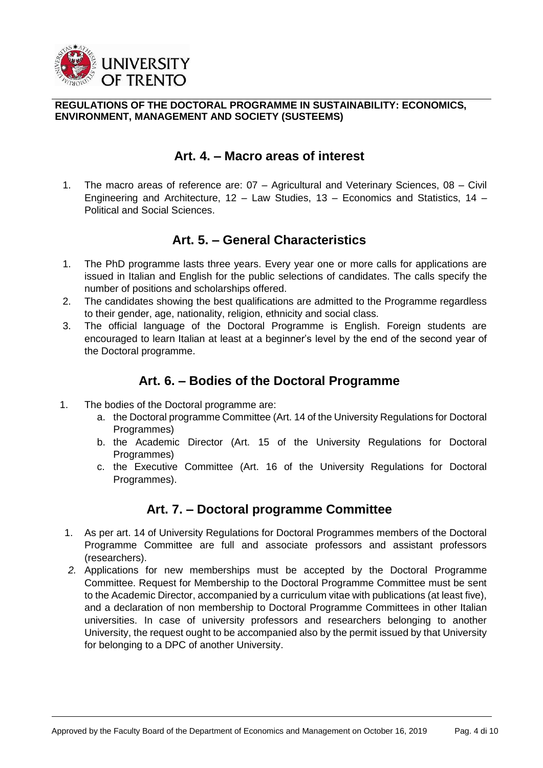

# **Art. 4. – Macro areas of interest**

<span id="page-3-0"></span>1. The macro areas of reference are: 07 – Agricultural and Veterinary Sciences, 08 – Civil Engineering and Architecture, 12 – Law Studies, 13 – Economics and Statistics, 14 – Political and Social Sciences.

# **Art. 5. – General Characteristics**

- <span id="page-3-1"></span>1. The PhD programme lasts three years. Every year one or more calls for applications are issued in Italian and English for the public selections of candidates. The calls specify the number of positions and scholarships offered.
- 2. The candidates showing the best qualifications are admitted to the Programme regardless to their gender, age, nationality, religion, ethnicity and social class.
- 3. The official language of the Doctoral Programme is English. Foreign students are encouraged to learn Italian at least at a beginner's level by the end of the second year of the Doctoral programme.

# **Art. 6. – Bodies of the Doctoral Programme**

- <span id="page-3-2"></span>1. The bodies of the Doctoral programme are:
	- a. the Doctoral programme Committee (Art. 14 of the University Regulations for Doctoral Programmes)
	- b. the Academic Director (Art. 15 of the University Regulations for Doctoral Programmes)
	- c. the Executive Committee (Art. 16 of the University Regulations for Doctoral Programmes).

# **Art. 7. – Doctoral programme Committee**

- <span id="page-3-3"></span>1. As per art. 14 of University Regulations for Doctoral Programmes members of the Doctoral Programme Committee are full and associate professors and assistant professors (researchers).
- *2.* Applications for new memberships must be accepted by the Doctoral Programme Committee. Request for Membership to the Doctoral Programme Committee must be sent to the Academic Director, accompanied by a curriculum vitae with publications (at least five), and a declaration of non membership to Doctoral Programme Committees in other Italian universities. In case of university professors and researchers belonging to another University, the request ought to be accompanied also by the permit issued by that University for belonging to a DPC of another University.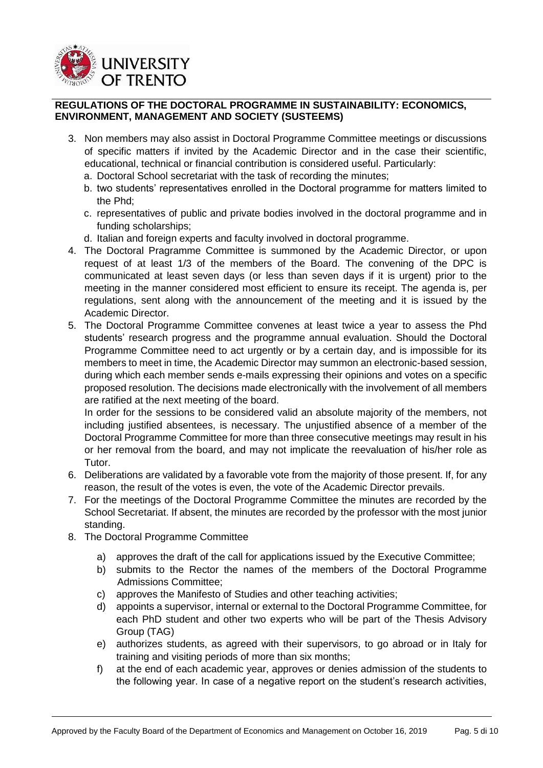

- 3. Non members may also assist in Doctoral Programme Committee meetings or discussions of specific matters if invited by the Academic Director and in the case their scientific, educational, technical or financial contribution is considered useful. Particularly:
	- a. Doctoral School secretariat with the task of recording the minutes;
	- b. two students' representatives enrolled in the Doctoral programme for matters limited to the Phd;
	- c. representatives of public and private bodies involved in the doctoral programme and in funding scholarships;
	- d. Italian and foreign experts and faculty involved in doctoral programme.
- 4. The Doctoral Pragramme Committee is summoned by the Academic Director, or upon request of at least 1/3 of the members of the Board. The convening of the DPC is communicated at least seven days (or less than seven days if it is urgent) prior to the meeting in the manner considered most efficient to ensure its receipt. The agenda is, per regulations, sent along with the announcement of the meeting and it is issued by the Academic Director.
- 5. The Doctoral Programme Committee convenes at least twice a year to assess the Phd students' research progress and the programme annual evaluation. Should the Doctoral Programme Committee need to act urgently or by a certain day, and is impossible for its members to meet in time, the Academic Director may summon an electronic-based session, during which each member sends e-mails expressing their opinions and votes on a specific proposed resolution. The decisions made electronically with the involvement of all members are ratified at the next meeting of the board.

In order for the sessions to be considered valid an absolute majority of the members, not including justified absentees, is necessary. The unjustified absence of a member of the Doctoral Programme Committee for more than three consecutive meetings may result in his or her removal from the board, and may not implicate the reevaluation of his/her role as Tutor.

- 6. Deliberations are validated by a favorable vote from the majority of those present. If, for any reason, the result of the votes is even, the vote of the Academic Director prevails.
- 7. For the meetings of the Doctoral Programme Committee the minutes are recorded by the School Secretariat. If absent, the minutes are recorded by the professor with the most junior standing.
- 8. The Doctoral Programme Committee
	- a) approves the draft of the call for applications issued by the Executive Committee;
	- b) submits to the Rector the names of the members of the Doctoral Programme Admissions Committee;
	- c) approves the Manifesto of Studies and other teaching activities;
	- d) appoints a supervisor, internal or external to the Doctoral Programme Committee, for each PhD student and other two experts who will be part of the Thesis Advisory Group (TAG)
	- e) authorizes students, as agreed with their supervisors, to go abroad or in Italy for training and visiting periods of more than six months;
	- f) at the end of each academic year, approves or denies admission of the students to the following year. In case of a negative report on the student's research activities,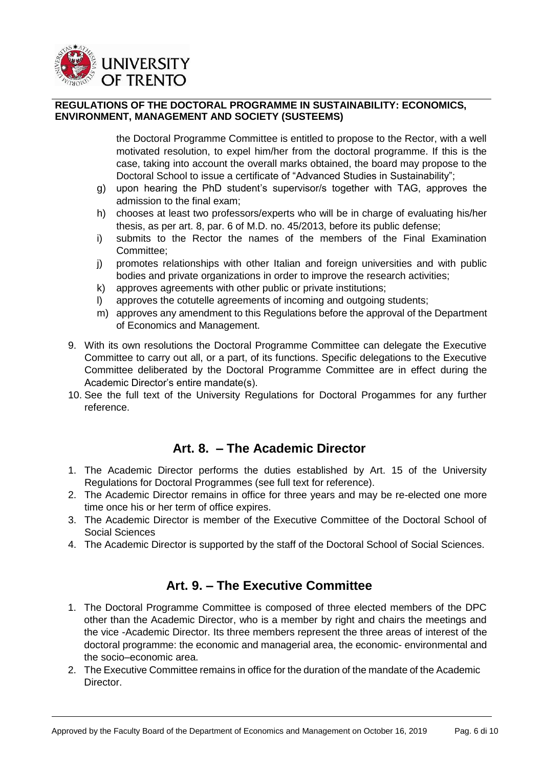

the Doctoral Programme Committee is entitled to propose to the Rector, with a well motivated resolution, to expel him/her from the doctoral programme. If this is the case, taking into account the overall marks obtained, the board may propose to the Doctoral School to issue a certificate of "Advanced Studies in Sustainability";

- g) upon hearing the PhD student's supervisor/s together with TAG, approves the admission to the final exam;
- h) chooses at least two professors/experts who will be in charge of evaluating his/her thesis, as per art. 8, par. 6 of M.D. no. 45/2013, before its public defense;
- i) submits to the Rector the names of the members of the Final Examination Committee;
- j) promotes relationships with other Italian and foreign universities and with public bodies and private organizations in order to improve the research activities;
- k) approves agreements with other public or private institutions;
- l) approves the cotutelle agreements of incoming and outgoing students;
- m) approves any amendment to this Regulations before the approval of the Department of Economics and Management.
- 9. With its own resolutions the Doctoral Programme Committee can delegate the Executive Committee to carry out all, or a part, of its functions. Specific delegations to the Executive Committee deliberated by the Doctoral Programme Committee are in effect during the Academic Director's entire mandate(s).
- <span id="page-5-0"></span>10. See the full text of the University Regulations for Doctoral Progammes for any further reference.

### **Art. 8. – The Academic Director**

- 1. The Academic Director performs the duties established by Art. 15 of the University Regulations for Doctoral Programmes (see full text for reference).
- 2. The Academic Director remains in office for three years and may be re-elected one more time once his or her term of office expires.
- 3. The Academic Director is member of the Executive Committee of the Doctoral School of Social Sciences
- 4. The Academic Director is supported by the staff of the Doctoral School of Social Sciences.

# **Art. 9. – The Executive Committee**

- <span id="page-5-1"></span>1. The Doctoral Programme Committee is composed of three elected members of the DPC other than the Academic Director, who is a member by right and chairs the meetings and the vice -Academic Director. Its three members represent the three areas of interest of the doctoral programme: the economic and managerial area, the economic- environmental and the socio–economic area.
- 2. The Executive Committee remains in office for the duration of the mandate of the Academic Director.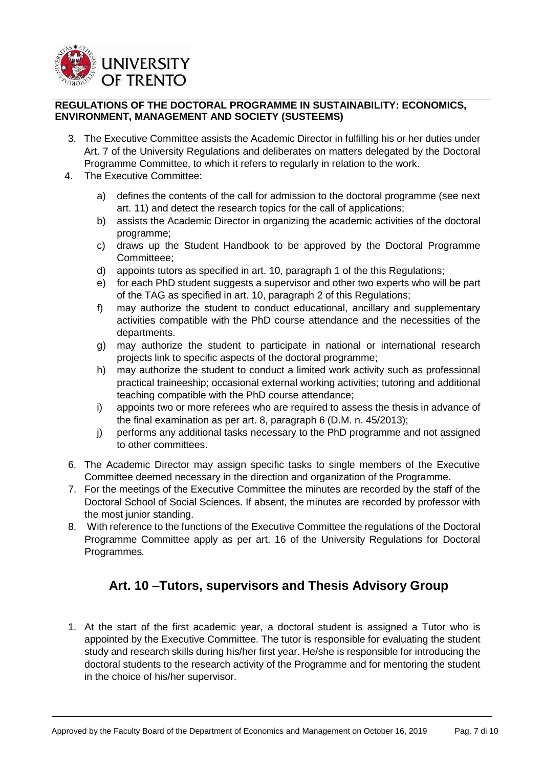

- 3. The Executive Committee assists the Academic Director in fulfilling his or her duties under Art. 7 of the University Regulations and deliberates on matters delegated by the Doctoral Programme Committee, to which it refers to regularly in relation to the work.
- 4. The Executive Committee:
	- a) defines the contents of the call for admission to the doctoral programme (see next art. 11) and detect the research topics for the call of applications;
	- b) assists the Academic Director in organizing the academic activities of the doctoral programme;
	- c) draws up the Student Handbook to be approved by the Doctoral Programme Committeee;
	- d) appoints tutors as specified in art. 10, paragraph 1 of the this Regulations;
	- e) for each PhD student suggests a supervisor and other two experts who will be part of the TAG as specified in art. 10, paragraph 2 of this Regulations;
	- f) may authorize the student to conduct educational, ancillary and supplementary activities compatible with the PhD course attendance and the necessities of the departments.
	- g) may authorize the student to participate in national or international research projects link to specific aspects of the doctoral programme;
	- h) may authorize the student to conduct a limited work activity such as professional practical traineeship; occasional external working activities; tutoring and additional teaching compatible with the PhD course attendance;
	- i) appoints two or more referees who are required to assess the thesis in advance of the final examination as per art. 8, paragraph 6 (D.M. n. 45/2013);
	- j) performs any additional tasks necessary to the PhD programme and not assigned to other committees.
- 6. The Academic Director may assign specific tasks to single members of the Executive Committee deemed necessary in the direction and organization of the Programme.
- 7. For the meetings of the Executive Committee the minutes are recorded by the staff of the Doctoral School of Social Sciences. If absent, the minutes are recorded by professor with the most junior standing.
- 8. With reference to the functions of the Executive Committee the regulations of the Doctoral Programme Committee apply as per art. 16 of the University Regulations for Doctoral Programmes*.*

# **Art. 10 –Tutors, supervisors and Thesis Advisory Group**

<span id="page-6-0"></span>1. At the start of the first academic year, a doctoral student is assigned a Tutor who is appointed by the Executive Committee. The tutor is responsible for evaluating the student study and research skills during his/her first year. He/she is responsible for introducing the doctoral students to the research activity of the Programme and for mentoring the student in the choice of his/her supervisor.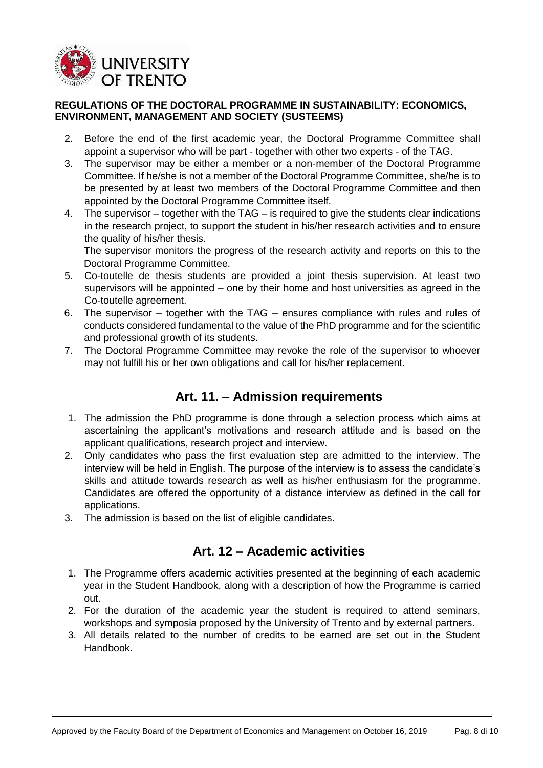

- 2. Before the end of the first academic year, the Doctoral Programme Committee shall appoint a supervisor who will be part - together with other two experts - of the TAG.
- 3. The supervisor may be either a member or a non-member of the Doctoral Programme Committee. If he/she is not a member of the Doctoral Programme Committee, she/he is to be presented by at least two members of the Doctoral Programme Committee and then appointed by the Doctoral Programme Committee itself.
- 4. The supervisor together with the TAG is required to give the students clear indications in the research project, to support the student in his/her research activities and to ensure the quality of his/her thesis.

The supervisor monitors the progress of the research activity and reports on this to the Doctoral Programme Committee.

- 5. Co-toutelle de thesis students are provided a joint thesis supervision. At least two supervisors will be appointed – one by their home and host universities as agreed in the Co-toutelle agreement.
- 6. The supervisor together with the TAG ensures compliance with rules and rules of conducts considered fundamental to the value of the PhD programme and for the scientific and professional growth of its students.
- 7. The Doctoral Programme Committee may revoke the role of the supervisor to whoever may not fulfill his or her own obligations and call for his/her replacement.

# **Art. 11. – Admission requirements**

- <span id="page-7-0"></span>1. The admission the PhD programme is done through a selection process which aims at ascertaining the applicant's motivations and research attitude and is based on the applicant qualifications, research project and interview.
- 2. Only candidates who pass the first evaluation step are admitted to the interview. The interview will be held in English. The purpose of the interview is to assess the candidate's skills and attitude towards research as well as his/her enthusiasm for the programme. Candidates are offered the opportunity of a distance interview as defined in the call for applications.
- 3. The admission is based on the list of eligible candidates.

# **Art. 12 – Academic activities**

- <span id="page-7-1"></span>1. The Programme offers academic activities presented at the beginning of each academic year in the Student Handbook, along with a description of how the Programme is carried out.
- 2. For the duration of the academic year the student is required to attend seminars, workshops and symposia proposed by the University of Trento and by external partners.
- 3. All details related to the number of credits to be earned are set out in the Student Handbook.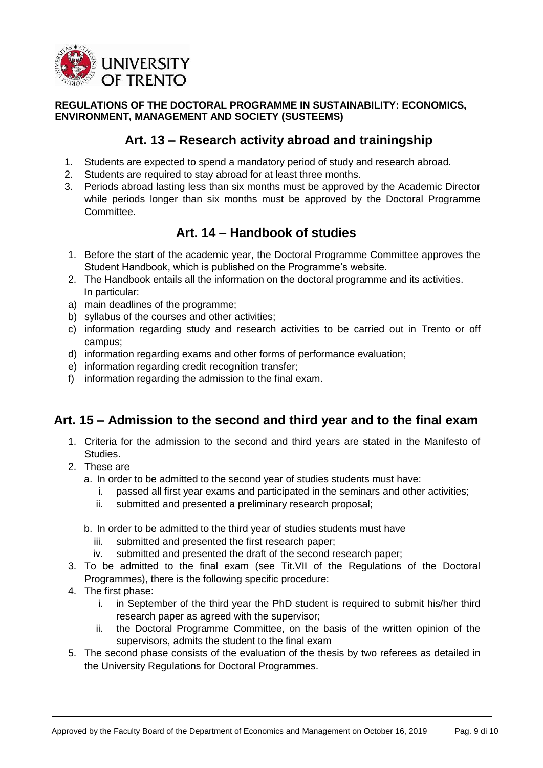

# **Art. 13 – Research activity abroad and trainingship**

- <span id="page-8-0"></span>1. Students are expected to spend a mandatory period of study and research abroad.
- 2. Students are required to stay abroad for at least three months.
- 3. Periods abroad lasting less than six months must be approved by the Academic Director while periods longer than six months must be approved by the Doctoral Programme Committee.

# <span id="page-8-1"></span>**Art. 14 – Handbook of studies**

- 1. Before the start of the academic year, the Doctoral Programme Committee approves the Student Handbook, which is published on the Programme's website.
- 2. The Handbook entails all the information on the doctoral programme and its activities. In particular:
- a) main deadlines of the programme;
- b) syllabus of the courses and other activities;
- c) information regarding study and research activities to be carried out in Trento or off campus;
- d) information regarding exams and other forms of performance evaluation;
- e) information regarding credit recognition transfer;
- f) information regarding the admission to the final exam.

# <span id="page-8-2"></span>**Art. 15 – Admission to the second and third year and to the final exam**

- 1. Criteria for the admission to the second and third years are stated in the Manifesto of Studies.
- 2. These are
	- a. In order to be admitted to the second year of studies students must have:
		- i. passed all first year exams and participated in the seminars and other activities;
		- ii. submitted and presented a preliminary research proposal;
	- b. In order to be admitted to the third year of studies students must have
		- iii. submitted and presented the first research paper;
		- iv. submitted and presented the draft of the second research paper;
- 3. To be admitted to the final exam (see Tit.VII of the Regulations of the Doctoral Programmes), there is the following specific procedure:
- 4. The first phase:
	- i. in September of the third year the PhD student is required to submit his/her third research paper as agreed with the supervisor;
	- ii. the Doctoral Programme Committee, on the basis of the written opinion of the supervisors, admits the student to the final exam
- 5. The second phase consists of the evaluation of the thesis by two referees as detailed in the University Regulations for Doctoral Programmes.